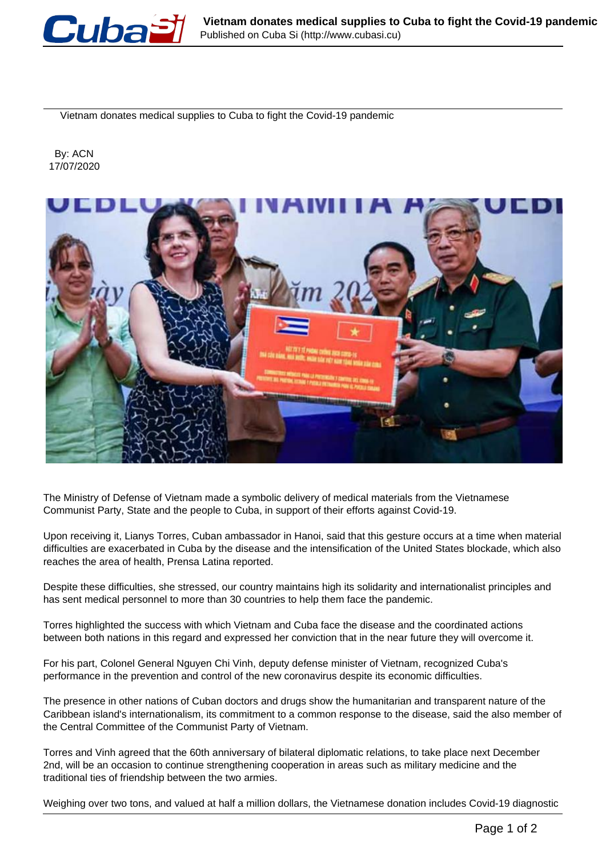

Vietnam donates medical supplies to Cuba to fight the Covid-19 pandemic

 By: ACN 17/07/2020



The Ministry of Defense of Vietnam made a symbolic delivery of medical materials from the Vietnamese Communist Party, State and the people to Cuba, in support of their efforts against Covid-19.

Upon receiving it, Lianys Torres, Cuban ambassador in Hanoi, said that this gesture occurs at a time when material difficulties are exacerbated in Cuba by the disease and the intensification of the United States blockade, which also reaches the area of health, Prensa Latina reported.

Despite these difficulties, she stressed, our country maintains high its solidarity and internationalist principles and has sent medical personnel to more than 30 countries to help them face the pandemic.

Torres highlighted the success with which Vietnam and Cuba face the disease and the coordinated actions between both nations in this regard and expressed her conviction that in the near future they will overcome it.

For his part, Colonel General Nguyen Chi Vinh, deputy defense minister of Vietnam, recognized Cuba's performance in the prevention and control of the new coronavirus despite its economic difficulties.

The presence in other nations of Cuban doctors and drugs show the humanitarian and transparent nature of the Caribbean island's internationalism, its commitment to a common response to the disease, said the also member of the Central Committee of the Communist Party of Vietnam.

Torres and Vinh agreed that the 60th anniversary of bilateral diplomatic relations, to take place next December 2nd, will be an occasion to continue strengthening cooperation in areas such as military medicine and the traditional ties of friendship between the two armies.

Weighing over two tons, and valued at half a million dollars, the Vietnamese donation includes Covid-19 diagnostic